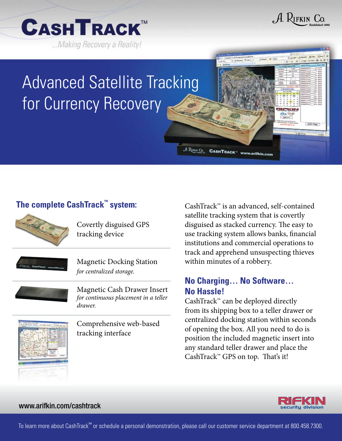



## Advanced Satellite Tracking for Currency Recovery





Covertly disguised GPS tracking device

|--|

Magnetic Docking Station *for centralized storage.*

Magnetic Cash Drawer Insert *for continuous placement in a teller drawer.*

Comprehensive web-based tracking interface

CashTrack™ is an advanced, self-contained satellite tracking system that is covertly disguised as stacked currency. The easy to use tracking system allows banks, financial institutions and commercial operations to track and apprehend unsuspecting thieves within minutes of a robbery.

## **No Charging… No Software… No Hassle!**

 $\mathcal{A}$  Punis Co. CASHTRACK " www.arifkin.com

CashTrack™ can be deployed directly from its shipping box to a teller drawer or centralized docking station within seconds of opening the box. All you need to do is position the included magnetic insert into any standard teller drawer and place the CashTrack™ GPS on top. That's it!





www.arifkin.com/cashtrack